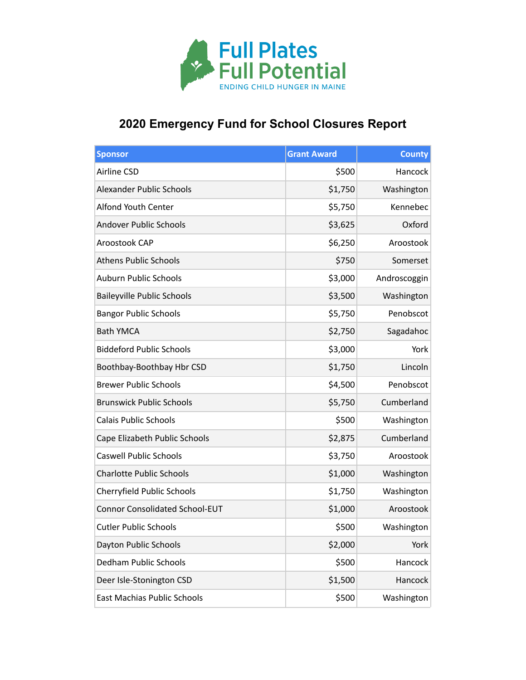

## **2020 Emergency Fund for School Closures Report**

| <b>Sponsor</b>                        | <b>Grant Award</b> | <b>County</b> |
|---------------------------------------|--------------------|---------------|
| Airline CSD                           | \$500              | Hancock       |
| <b>Alexander Public Schools</b>       | \$1,750            | Washington    |
| <b>Alfond Youth Center</b>            | \$5,750            | Kennebec      |
| <b>Andover Public Schools</b>         | \$3,625            | Oxford        |
| Aroostook CAP                         | \$6,250            | Aroostook     |
| <b>Athens Public Schools</b>          | \$750              | Somerset      |
| <b>Auburn Public Schools</b>          | \$3,000            | Androscoggin  |
| <b>Baileyville Public Schools</b>     | \$3,500            | Washington    |
| <b>Bangor Public Schools</b>          | \$5,750            | Penobscot     |
| <b>Bath YMCA</b>                      | \$2,750            | Sagadahoc     |
| <b>Biddeford Public Schools</b>       | \$3,000            | York          |
| Boothbay-Boothbay Hbr CSD             | \$1,750            | Lincoln       |
| <b>Brewer Public Schools</b>          | \$4,500            | Penobscot     |
| <b>Brunswick Public Schools</b>       | \$5,750            | Cumberland    |
| <b>Calais Public Schools</b>          | \$500              | Washington    |
| Cape Elizabeth Public Schools         | \$2,875            | Cumberland    |
| <b>Caswell Public Schools</b>         | \$3,750            | Aroostook     |
| <b>Charlotte Public Schools</b>       | \$1,000            | Washington    |
| Cherryfield Public Schools            | \$1,750            | Washington    |
| <b>Connor Consolidated School-EUT</b> | \$1,000            | Aroostook     |
| <b>Cutler Public Schools</b>          | \$500              | Washington    |
| Dayton Public Schools                 | \$2,000            | York          |
| <b>Dedham Public Schools</b>          | \$500              | Hancock       |
| Deer Isle-Stonington CSD              | \$1,500            | Hancock       |
| <b>East Machias Public Schools</b>    | \$500              | Washington    |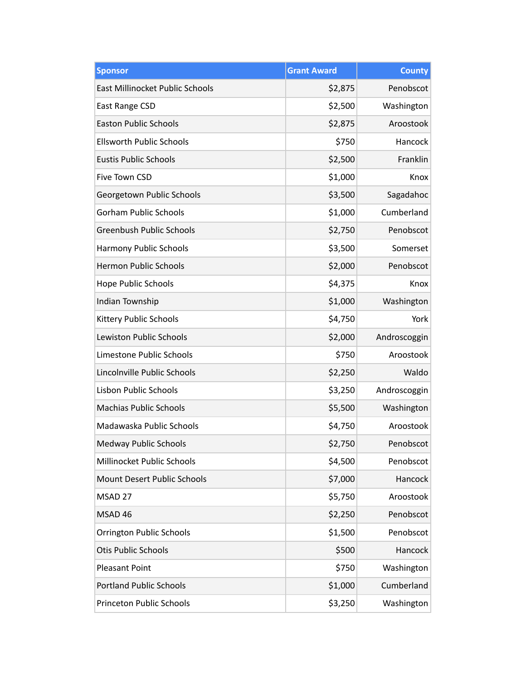| <b>Sponsor</b>                         | <b>Grant Award</b> | <b>County</b> |
|----------------------------------------|--------------------|---------------|
| <b>East Millinocket Public Schools</b> | \$2,875            | Penobscot     |
| East Range CSD                         | \$2,500            | Washington    |
| <b>Easton Public Schools</b>           | \$2,875            | Aroostook     |
| <b>Ellsworth Public Schools</b>        | \$750              | Hancock       |
| <b>Eustis Public Schools</b>           | \$2,500            | Franklin      |
| Five Town CSD                          | \$1,000            | Knox          |
| Georgetown Public Schools              | \$3,500            | Sagadahoc     |
| <b>Gorham Public Schools</b>           | \$1,000            | Cumberland    |
| <b>Greenbush Public Schools</b>        | \$2,750            | Penobscot     |
| Harmony Public Schools                 | \$3,500            | Somerset      |
| <b>Hermon Public Schools</b>           | \$2,000            | Penobscot     |
| Hope Public Schools                    | \$4,375            | Knox          |
| Indian Township                        | \$1,000            | Washington    |
| Kittery Public Schools                 | \$4,750            | York          |
| Lewiston Public Schools                | \$2,000            | Androscoggin  |
| Limestone Public Schools               | \$750              | Aroostook     |
| Lincolnville Public Schools            | \$2,250            | Waldo         |
| Lisbon Public Schools                  | \$3,250            | Androscoggin  |
| <b>Machias Public Schools</b>          | \$5,500            | Washington    |
| Madawaska Public Schools               | \$4,750            | Aroostook     |
| Medway Public Schools                  | \$2,750            | Penobscot     |
| Millinocket Public Schools             | \$4,500            | Penobscot     |
| <b>Mount Desert Public Schools</b>     | \$7,000            | Hancock       |
| MSAD 27                                | \$5,750            | Aroostook     |
| MSAD 46                                | \$2,250            | Penobscot     |
| <b>Orrington Public Schools</b>        | \$1,500            | Penobscot     |
| <b>Otis Public Schools</b>             | \$500              | Hancock       |
| <b>Pleasant Point</b>                  | \$750              | Washington    |
| <b>Portland Public Schools</b>         | \$1,000            | Cumberland    |
| <b>Princeton Public Schools</b>        | \$3,250            | Washington    |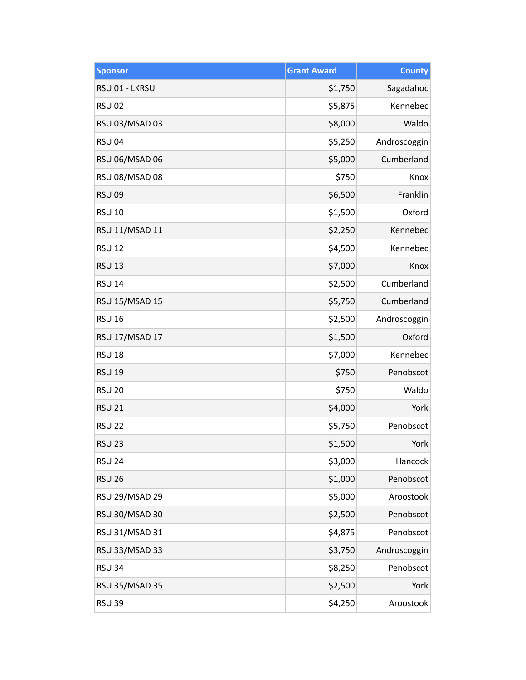| <b>Sponsor</b>        | <b>Grant Award</b> | <b>County</b> |
|-----------------------|--------------------|---------------|
| RSU 01 - LKRSU        | \$1,750            | Sagadahoc     |
| <b>RSU 02</b>         | \$5,875            | Kennebec      |
| RSU 03/MSAD 03        | \$8,000            | Waldo         |
| <b>RSU 04</b>         | \$5,250            | Androscoggin  |
| RSU 06/MSAD 06        | \$5,000            | Cumberland    |
| RSU 08/MSAD 08        | \$750              | Knox          |
| <b>RSU 09</b>         | \$6,500            | Franklin      |
| <b>RSU 10</b>         | \$1,500            | Oxford        |
| RSU 11/MSAD 11        | \$2,250            | Kennebec      |
| <b>RSU 12</b>         | \$4,500            | Kennebec      |
| <b>RSU 13</b>         | \$7,000            | Knox          |
| <b>RSU 14</b>         | \$2,500            | Cumberland    |
| RSU 15/MSAD 15        | \$5,750            | Cumberland    |
| <b>RSU 16</b>         | \$2,500            | Androscoggin  |
| RSU 17/MSAD 17        | \$1,500            | Oxford        |
| <b>RSU 18</b>         | \$7,000            | Kennebec      |
| <b>RSU 19</b>         | \$750              | Penobscot     |
| <b>RSU 20</b>         | \$750              | Waldo         |
| <b>RSU 21</b>         | \$4,000            | York          |
| <b>RSU 22</b>         | \$5,750            | Penobscot     |
| <b>RSU 23</b>         | \$1,500            | York          |
| <b>RSU 24</b>         | \$3,000            | Hancock       |
| <b>RSU 26</b>         | \$1,000            | Penobscot     |
| RSU 29/MSAD 29        | \$5,000            | Aroostook     |
| RSU 30/MSAD 30        | \$2,500            | Penobscot     |
| RSU 31/MSAD 31        | \$4,875            | Penobscot     |
| RSU 33/MSAD 33        | \$3,750            | Androscoggin  |
| <b>RSU 34</b>         | \$8,250            | Penobscot     |
| <b>RSU 35/MSAD 35</b> | \$2,500            | York          |
| <b>RSU 39</b>         | \$4,250            | Aroostook     |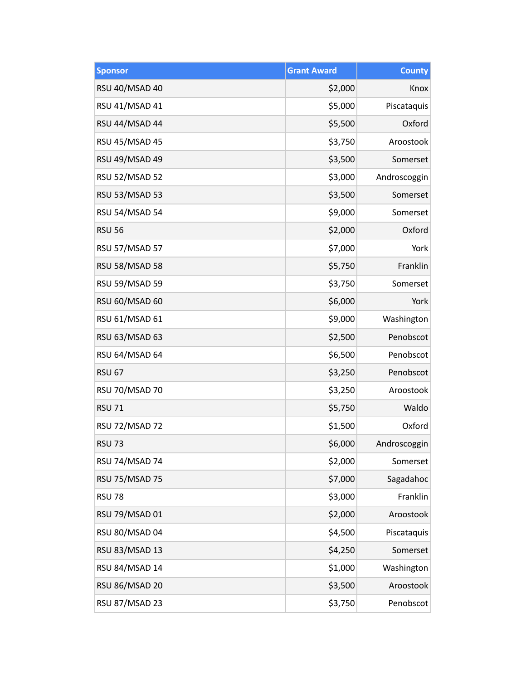| <b>Sponsor</b>        | <b>Grant Award</b> | <b>County</b> |
|-----------------------|--------------------|---------------|
| RSU 40/MSAD 40        | \$2,000            | Knox          |
| RSU 41/MSAD 41        | \$5,000            | Piscataquis   |
| RSU 44/MSAD 44        | \$5,500            | Oxford        |
| RSU 45/MSAD 45        | \$3,750            | Aroostook     |
| RSU 49/MSAD 49        | \$3,500            | Somerset      |
| <b>RSU 52/MSAD 52</b> | \$3,000            | Androscoggin  |
| <b>RSU 53/MSAD 53</b> | \$3,500            | Somerset      |
| <b>RSU 54/MSAD 54</b> | \$9,000            | Somerset      |
| <b>RSU 56</b>         | \$2,000            | Oxford        |
| <b>RSU 57/MSAD 57</b> | \$7,000            | York          |
| RSU 58/MSAD 58        | \$5,750            | Franklin      |
| <b>RSU 59/MSAD 59</b> | \$3,750            | Somerset      |
| RSU 60/MSAD 60        | \$6,000            | York          |
| RSU 61/MSAD 61        | \$9,000            | Washington    |
| RSU 63/MSAD 63        | \$2,500            | Penobscot     |
| RSU 64/MSAD 64        | \$6,500            | Penobscot     |
| <b>RSU 67</b>         | \$3,250            | Penobscot     |
| <b>RSU 70/MSAD 70</b> | \$3,250            | Aroostook     |
| <b>RSU 71</b>         | \$5,750            | Waldo         |
| <b>RSU 72/MSAD 72</b> | \$1,500            | Oxford        |
| <b>RSU 73</b>         | \$6,000            | Androscoggin  |
| RSU 74/MSAD 74        | \$2,000            | Somerset      |
| <b>RSU 75/MSAD 75</b> | \$7,000            | Sagadahoc     |
| <b>RSU 78</b>         | \$3,000            | Franklin      |
| RSU 79/MSAD 01        | \$2,000            | Aroostook     |
| RSU 80/MSAD 04        | \$4,500            | Piscataquis   |
| RSU 83/MSAD 13        | \$4,250            | Somerset      |
| RSU 84/MSAD 14        | \$1,000            | Washington    |
| RSU 86/MSAD 20        | \$3,500            | Aroostook     |
| RSU 87/MSAD 23        | \$3,750            | Penobscot     |